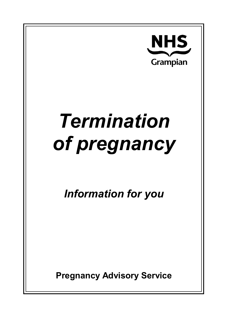

# *Termination of pregnancy*

*Information for you*

**Pregnancy Advisory Service**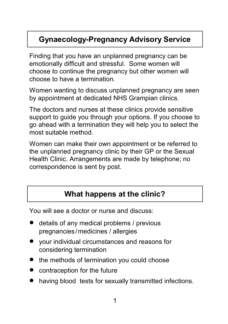# **Gynaecology-Pregnancy Advisory Service**

Finding that you have an unplanned pregnancy can be emotionally difficult and stressful. Some women will choose to continue the pregnancy but other women will choose to have a termination.

Women wanting to discuss unplanned pregnancy are seen by appointment at dedicated NHS Grampian clinics.

The doctors and nurses at these clinics provide sensitive support to guide you through your options. If you choose to go ahead with a termination they will help you to select the most suitable method.

Women can make their own appointment or be referred to the unplanned pregnancy clinic by their GP or the Sexual Health Clinic. Arrangements are made by telephone; no correspondence is sent by post.

## **What happens at the clinic?**

You will see a doctor or nurse and discuss:

- details of any medical problems / previous pregnancies/medicines / allergies
- your individual circumstances and reasons for considering termination
- the methods of termination you could choose
- contraception for the future
- having blood tests for sexually transmitted infections.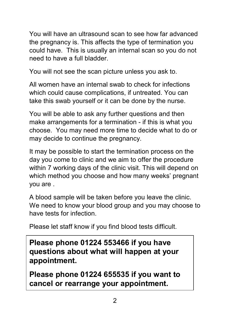You will have an ultrasound scan to see how far advanced the pregnancy is. This affects the type of termination you could have. This is usually an internal scan so you do not need to have a full bladder.

You will not see the scan picture unless you ask to.

All women have an internal swab to check for infections which could cause complications, if untreated. You can take this swab yourself or it can be done by the nurse.

You will be able to ask any further questions and then make arrangements for a termination - if this is what you choose. You may need more time to decide what to do or may decide to continue the pregnancy.

It may be possible to start the termination process on the day you come to clinic and we aim to offer the procedure within 7 working days of the clinic visit. This will depend on which method you choose and how many weeks' pregnant you are .

A blood sample will be taken before you leave the clinic. We need to know your blood group and you may choose to have tests for infection.

Please let staff know if you find blood tests difficult.

**Please phone 01224 553466 if you have questions about what will happen at your appointment.**

**Please phone 01224 655535 if you want to cancel or rearrange your appointment.**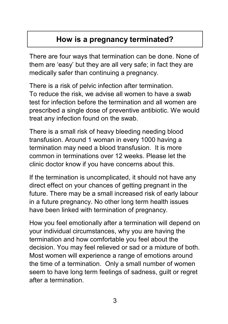## **How is a pregnancy terminated?**

There are four ways that termination can be done. None of them are 'easy' but they are all very safe; in fact they are medically safer than continuing a pregnancy.

There is a risk of pelvic infection after termination. To reduce the risk, we advise all women to have a swab test for infection before the termination and all women are prescribed a single dose of preventive antibiotic. We would treat any infection found on the swab.

There is a small risk of heavy bleeding needing blood transfusion. Around 1 woman in every 1000 having a termination may need a blood transfusion. It is more common in terminations over 12 weeks. Please let the clinic doctor know if you have concerns about this.

If the termination is uncomplicated, it should not have any direct effect on your chances of getting pregnant in the future. There may be a small increased risk of early labour in a future pregnancy. No other long term health issues have been linked with termination of pregnancy.

How you feel emotionally after a termination will depend on your individual circumstances, why you are having the termination and how comfortable you feel about the decision. You may feel relieved or sad or a mixture of both. Most women will experience a range of emotions around the time of a termination. Only a small number of women seem to have long term feelings of sadness, guilt or regret after a termination.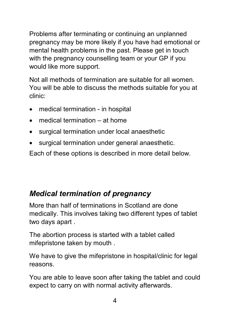Problems after terminating or continuing an unplanned pregnancy may be more likely if you have had emotional or mental health problems in the past. Please get in touch with the pregnancy counselling team or your GP if you would like more support.

Not all methods of termination are suitable for all women. You will be able to discuss the methods suitable for you at clinic:

- medical termination in hospital
- medical termination at home
- surgical termination under local anaesthetic
- surgical termination under general anaesthetic.

Each of these options is described in more detail below.

## *Medical termination of pregnancy*

More than half of terminations in Scotland are done medically. This involves taking two different types of tablet two days apart .

The abortion process is started with a tablet called mifepristone taken by mouth .

We have to give the mifepristone in hospital/clinic for legal reasons.

You are able to leave soon after taking the tablet and could expect to carry on with normal activity afterwards.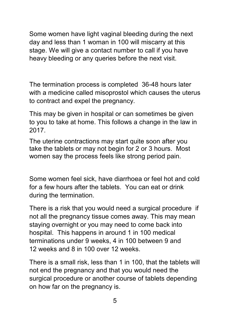Some women have light vaginal bleeding during the next day and less than 1 woman in 100 will miscarry at this stage. We will give a contact number to call if you have heavy bleeding or any queries before the next visit.

The termination process is completed 36-48 hours later with a medicine called misoprostol which causes the uterus to contract and expel the pregnancy.

This may be given in hospital or can sometimes be given to you to take at home. This follows a change in the law in 2017.

The uterine contractions may start quite soon after you take the tablets or may not begin for 2 or 3 hours. Most women say the process feels like strong period pain.

Some women feel sick, have diarrhoea or feel hot and cold for a few hours after the tablets. You can eat or drink during the termination.

There is a risk that you would need a surgical procedure if not all the pregnancy tissue comes away. This may mean staying overnight or you may need to come back into hospital. This happens in around 1 in 100 medical terminations under 9 weeks, 4 in 100 between 9 and 12 weeks and 8 in 100 over 12 weeks.

There is a small risk, less than 1 in 100, that the tablets will not end the pregnancy and that you would need the surgical procedure or another course of tablets depending on how far on the pregnancy is.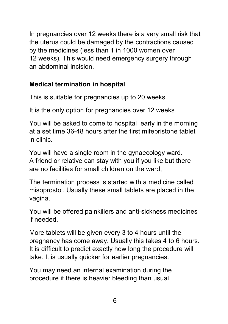In pregnancies over 12 weeks there is a very small risk that the uterus could be damaged by the contractions caused by the medicines (less than 1 in 1000 women over 12 weeks). This would need emergency surgery through an abdominal incision.

#### **Medical termination in hospital**

This is suitable for pregnancies up to 20 weeks.

It is the only option for pregnancies over 12 weeks.

You will be asked to come to hospital early in the morning at a set time 36-48 hours after the first mifepristone tablet in clinic.

You will have a single room in the gynaecology ward. A friend or relative can stay with you if you like but there are no facilities for small children on the ward,

The termination process is started with a medicine called misoprostol. Usually these small tablets are placed in the vagina.

You will be offered painkillers and anti-sickness medicines if needed.

More tablets will be given every 3 to 4 hours until the pregnancy has come away. Usually this takes 4 to 6 hours. It is difficult to predict exactly how long the procedure will take. It is usually quicker for earlier pregnancies.

You may need an internal examination during the procedure if there is heavier bleeding than usual.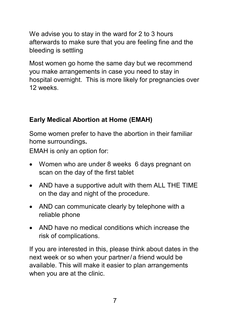We advise you to stay in the ward for 2 to 3 hours afterwards to make sure that you are feeling fine and the bleeding is settling

Most women go home the same day but we recommend you make arrangements in case you need to stay in hospital overnight. This is more likely for pregnancies over 12 weeks.

### **Early Medical Abortion at Home (EMAH)**

Some women prefer to have the abortion in their familiar home surroundings**.**

EMAH is only an option for:

- Women who are under 8 weeks 6 days pregnant on scan on the day of the first tablet
- AND have a supportive adult with them ALL THE TIME on the day and night of the procedure.
- AND can communicate clearly by telephone with a reliable phone
- AND have no medical conditions which increase the risk of complications.

If you are interested in this, please think about dates in the next week or so when your partner/a friend would be available. This will make it easier to plan arrangements when you are at the clinic.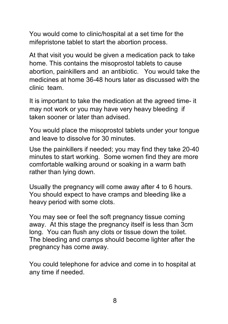You would come to clinic/hospital at a set time for the mifepristone tablet to start the abortion process.

At that visit you would be given a medication pack to take home. This contains the misoprostol tablets to cause abortion, painkillers and an antibiotic. You would take the medicines at home 36-48 hours later as discussed with the clinic team.

It is important to take the medication at the agreed time- it may not work or you may have very heavy bleeding if taken sooner or later than advised.

You would place the misoprostol tablets under your tongue and leave to dissolve for 30 minutes.

Use the painkillers if needed; you may find they take 20-40 minutes to start working. Some women find they are more comfortable walking around or soaking in a warm bath rather than lying down.

Usually the pregnancy will come away after 4 to 6 hours. You should expect to have cramps and bleeding like a heavy period with some clots.

You may see or feel the soft pregnancy tissue coming away. At this stage the pregnancy itself is less than 3cm long. You can flush any clots or tissue down the toilet. The bleeding and cramps should become lighter after the pregnancy has come away.

You could telephone for advice and come in to hospital at any time if needed.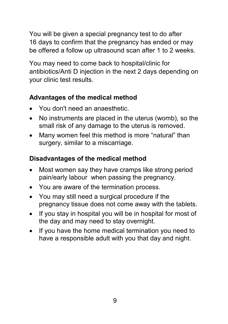You will be given a special pregnancy test to do after 16 days to confirm that the pregnancy has ended or may be offered a follow up ultrasound scan after 1 to 2 weeks.

You may need to come back to hospital/clinic for antibiotics/Anti D injection in the next 2 days depending on your clinic test results.

#### **Advantages of the medical method**

- You don't need an anaesthetic.
- No instruments are placed in the uterus (womb), so the small risk of any damage to the uterus is removed.
- Many women feel this method is more "natural" than surgery, similar to a miscarriage.

#### **Disadvantages of the medical method**

- Most women say they have cramps like strong period pain/early labour when passing the pregnancy.
- You are aware of the termination process.
- You may still need a surgical procedure if the pregnancy tissue does not come away with the tablets.
- If you stay in hospital you will be in hospital for most of the day and may need to stay overnight.
- If you have the home medical termination you need to have a responsible adult with you that day and night.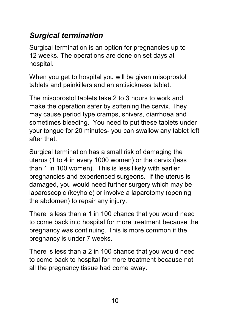# *Surgical termination*

Surgical termination is an option for pregnancies up to 12 weeks. The operations are done on set days at hospital.

When you get to hospital you will be given misoprostol tablets and painkillers and an antisickness tablet.

The misoprostol tablets take 2 to 3 hours to work and make the operation safer by softening the cervix. They may cause period type cramps, shivers, diarrhoea and sometimes bleeding. You need to put these tablets under your tongue for 20 minutes- you can swallow any tablet left after that.

Surgical termination has a small risk of damaging the uterus (1 to 4 in every 1000 women) or the cervix (less than 1 in 100 women). This is less likely with earlier pregnancies and experienced surgeons. If the uterus is damaged, you would need further surgery which may be laparoscopic (keyhole) or involve a laparotomy (opening the abdomen) to repair any injury.

There is less than a 1 in 100 chance that you would need to come back into hospital for more treatment because the pregnancy was continuing. This is more common if the pregnancy is under 7 weeks.

There is less than a 2 in 100 chance that you would need to come back to hospital for more treatment because not all the pregnancy tissue had come away.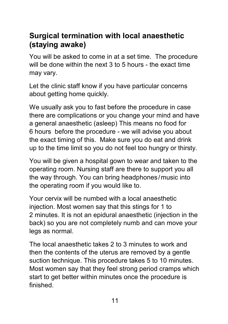## **Surgical termination with local anaesthetic (staying awake)**

You will be asked to come in at a set time. The procedure will be done within the next 3 to 5 hours - the exact time may vary.

Let the clinic staff know if you have particular concerns about getting home quickly.

We usually ask you to fast before the procedure in case there are complications or you change your mind and have a general anaesthetic (asleep) This means no food for 6 hours before the procedure - we will advise you about the exact timing of this. Make sure you do eat and drink up to the time limit so you do not feel too hungry or thirsty.

You will be given a hospital gown to wear and taken to the operating room. Nursing staff are there to support you all the way through. You can bring headphones/music into the operating room if you would like to.

Your cervix will be numbed with a local anaesthetic injection. Most women say that this stings for 1 to 2 minutes. It is not an epidural anaesthetic (injection in the back) so you are not completely numb and can move your legs as normal.

The local anaesthetic takes 2 to 3 minutes to work and then the contents of the uterus are removed by a gentle suction technique. This procedure takes 5 to 10 minutes. Most women say that they feel strong period cramps which start to get better within minutes once the procedure is finished.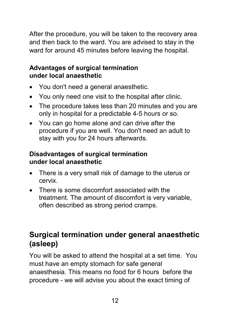After the procedure, you will be taken to the recovery area and then back to the ward. You are advised to stay in the ward for around 45 minutes before leaving the hospital.

#### **Advantages of surgical termination under local anaesthetic**

- You don't need a general anaesthetic.
- You only need one visit to the hospital after clinic.
- The procedure takes less than 20 minutes and you are only in hospital for a predictable 4-5 hours or so.
- You can go home alone and can drive after the procedure if you are well. You don't need an adult to stay with you for 24 hours afterwards.

#### **Disadvantages of surgical termination under local anaesthetic**

- There is a very small risk of damage to the uterus or cervix.
- There is some discomfort associated with the treatment. The amount of discomfort is very variable, often described as strong period cramps.

## **Surgical termination under general anaesthetic (asleep)**

You will be asked to attend the hospital at a set time. You must have an empty stomach for safe general anaesthesia. This means no food for 6 hours before the procedure - we will advise you about the exact timing of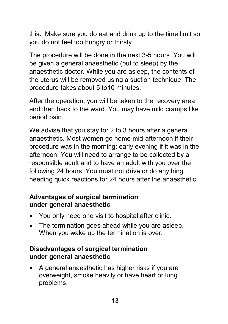this. Make sure you do eat and drink up to the time limit so you do not feel too hungry or thirsty.

The procedure will be done in the next 3-5 hours. You will be given a general anaesthetic (put to sleep) by the anaesthetic doctor. While you are asleep, the contents of the uterus will be removed using a suction technique. The procedure takes about 5 to10 minutes.

After the operation, you will be taken to the recovery area and then back to the ward. You may have mild cramps like period pain.

We advise that you stay for 2 to 3 hours after a general anaesthetic. Most women go home mid-afternoon if their procedure was in the morning; early evening if it was in the afternoon. You will need to arrange to be collected by a responsible adult and to have an adult with you over the following 24 hours. You must not drive or do anything needing quick reactions for 24 hours after the anaesthetic.

#### **Advantages of surgical termination under general anaesthetic**

- You only need one visit to hospital after clinic.
- The termination goes ahead while you are asleep. When you wake up the termination is over.

#### **Disadvantages of surgical termination under general anaesthetic**

• A general anaesthetic has higher risks if you are overweight, smoke heavily or have heart or lung problems.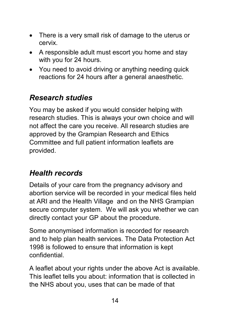- There is a very small risk of damage to the uterus or cervix.
- A responsible adult must escort you home and stay with you for 24 hours.
- You need to avoid driving or anything needing quick reactions for 24 hours after a general anaesthetic.

## *Research studies*

You may be asked if you would consider helping with research studies. This is always your own choice and will not affect the care you receive. All research studies are approved by the Grampian Research and Ethics Committee and full patient information leaflets are provided.

# *Health records*

Details of your care from the pregnancy advisory and abortion service will be recorded in your medical files held at ARI and the Health Village and on the NHS Grampian secure computer system. We will ask you whether we can directly contact your GP about the procedure.

Some anonymised information is recorded for research and to help plan health services. The Data Protection Act 1998 is followed to ensure that information is kept confidential.

A leaflet about your rights under the above Act is available. This leaflet tells you about: information that is collected in the NHS about you, uses that can be made of that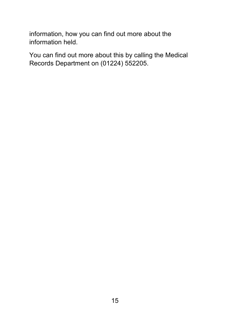information, how you can find out more about the information held.

You can find out more about this by calling the Medical Records Department on (01224) 552205.